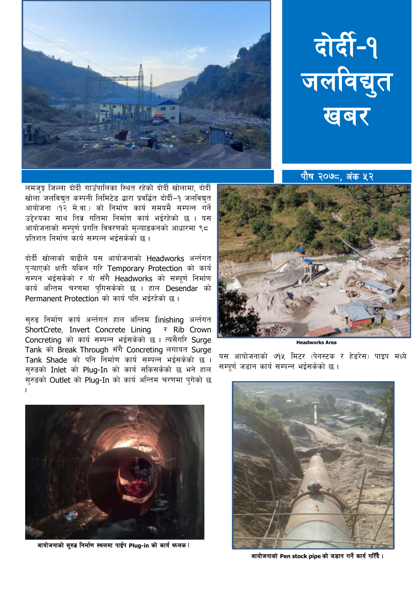



पौष २०७८, अंक ५२

लमजङ्ग जिल्ला दोदीं गाउँपालिका स्थित रहेको दोदीं खोलामा, दोर्दी खोला जलविद्युत कम्पनी लिमिटेड द्धारा प्रवर्द्धित दोर्दी-१ जलविद्युत आयोजना (१२ मे.वा.) को निर्माण कार्य समयमै सम्पन्न गर्ने उद्देश्यका साथ तिब्र गतिमा निर्माण कार्य भईरहेको छ । यस ्<br>आयोजनाको सम्पुर्ण प्रगति विवरणको मुल्याङकनको आधारमा ९८ प्रतिशत निर्माण कार्य सम्पन्न भईसकेको छ ।

दोर्दी खोलाको बाढीले यस आयोजनाको Headworks अर्न्तगत प्ऱ्याएको क्षती यकिन गरि Temporary Protection को कार्य सम्पन भईसकेको र यो सँगै Headworks को सम्पूर्ण निर्माण कार्य अन्तिम चरणमा पुगिसकेको छ । हाल Desendar को Permanent Protection को कार्य पनि भईरहेको छ।

सुरुड निर्माण कार्य अर्न्तगत हाल अन्तिम finishing अर्न्तगत ShortCrete. Invert Concrete Lining र Rib Crown Concreting को कार्य सम्पन्न भईसकेको छ । त्यसैगरि Surge Tank को Break Through सँगै Concreting लगायत Surge Tank Shade को पनि निर्माण कार्य सम्पन्न भईसकेको छ । सुरुडको Inlet को Plug-In को कार्य सकिसकेको छ भने हाल सुरुड़को Outlet को Plug-In को कार्य अन्तिम चरणमा पुगेको छ



**Headworks Area** 

यस आयोजनाको ७१५ मिटर (पेनस्टक र हेडरेस) पाइप मध्ये सम्पर्ण जड़ान कार्य सम्पन्न भईसकेको छ ।



आयोजनाको सुरुङ निर्माण स्थलमा पाईप Plug-in को कार्य फलक।



आयोजनाको Pen stock pipe को जडान गर्ने कार्य गरिँदै।